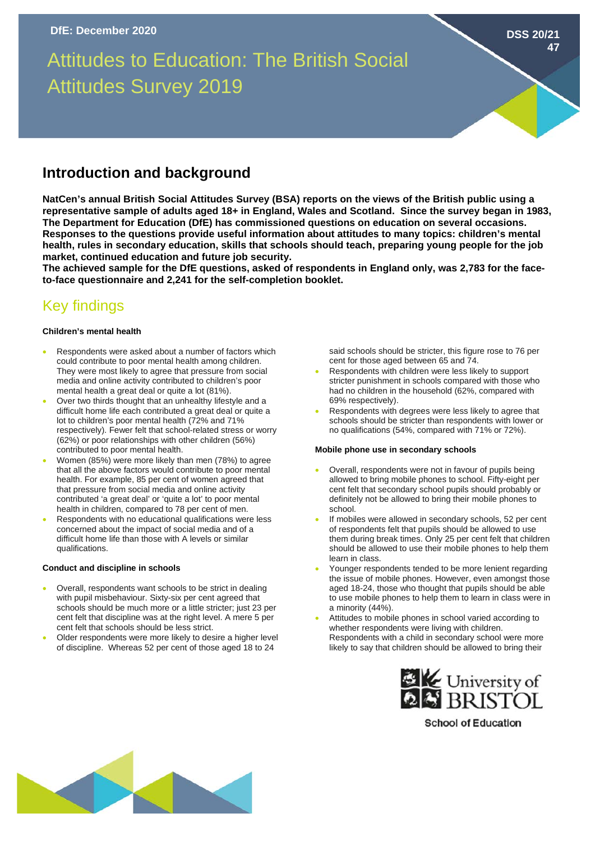# Attitudes to Education: The British Social Attitudes Survey 2019

### **Introduction and background**

**NatCen's annual British Social Attitudes Survey (BSA) reports on the views of the British public using a representative sample of adults aged 18+ in England, Wales and Scotland. Since the survey began in 1983, The Department for Education (DfE) has commissioned questions on education on several occasions. Responses to the questions provide useful information about attitudes to many topics: children's mental health, rules in secondary education, skills that schools should teach, preparing young people for the job market, continued education and future job security.**

**The achieved sample for the DfE questions, asked of respondents in England only, was 2,783 for the faceto-face questionnaire and 2,241 for the self-completion booklet.**

## Key findings

#### **Children's mental health**

- Respondents were asked about a number of factors which could contribute to poor mental health among children. They were most likely to agree that pressure from social media and online activity contributed to children's poor mental health a great deal or quite a lot (81%).
- Over two thirds thought that an unhealthy lifestyle and a difficult home life each contributed a great deal or quite a lot to children's poor mental health (72% and 71% respectively). Fewer felt that school-related stress or worry (62%) or poor relationships with other children (56%) contributed to poor mental health.
- Women (85%) were more likely than men (78%) to agree that all the above factors would contribute to poor mental health. For example, 85 per cent of women agreed that that pressure from social media and online activity contributed 'a great deal' or 'quite a lot' to poor mental health in children, compared to 78 per cent of men.
- Respondents with no educational qualifications were less concerned about the impact of social media and of a difficult home life than those with A levels or similar qualifications.

#### **Conduct and discipline in schools**

- Overall, respondents want schools to be strict in dealing with pupil misbehaviour. Sixty-six per cent agreed that schools should be much more or a little stricter; just 23 per cent felt that discipline was at the right level. A mere 5 per cent felt that schools should be less strict.
- Older respondents were more likely to desire a higher level of discipline. Whereas 52 per cent of those aged 18 to 24

said schools should be stricter, this figure rose to 76 per cent for those aged between 65 and 74.

**DSS 20/21**

**47**

- Respondents with children were less likely to support stricter punishment in schools compared with those who had no children in the household (62%, compared with 69% respectively).
- Respondents with degrees were less likely to agree that schools should be stricter than respondents with lower or no qualifications (54%, compared with 71% or 72%).

#### **Mobile phone use in secondary schools**

- Overall, respondents were not in favour of pupils being allowed to bring mobile phones to school. Fifty-eight per cent felt that secondary school pupils should probably or definitely not be allowed to bring their mobile phones to school.
- If mobiles were allowed in secondary schools, 52 per cent of respondents felt that pupils should be allowed to use them during break times. Only 25 per cent felt that children should be allowed to use their mobile phones to help them learn in class.
- Younger respondents tended to be more lenient regarding the issue of mobile phones. However, even amongst those aged 18-24, those who thought that pupils should be able to use mobile phones to help them to learn in class were in a minority (44%).
- Attitudes to mobile phones in school varied according to whether respondents were living with children. Respondents with a child in secondary school were more likely to say that children should be allowed to bring their



**School of Education**